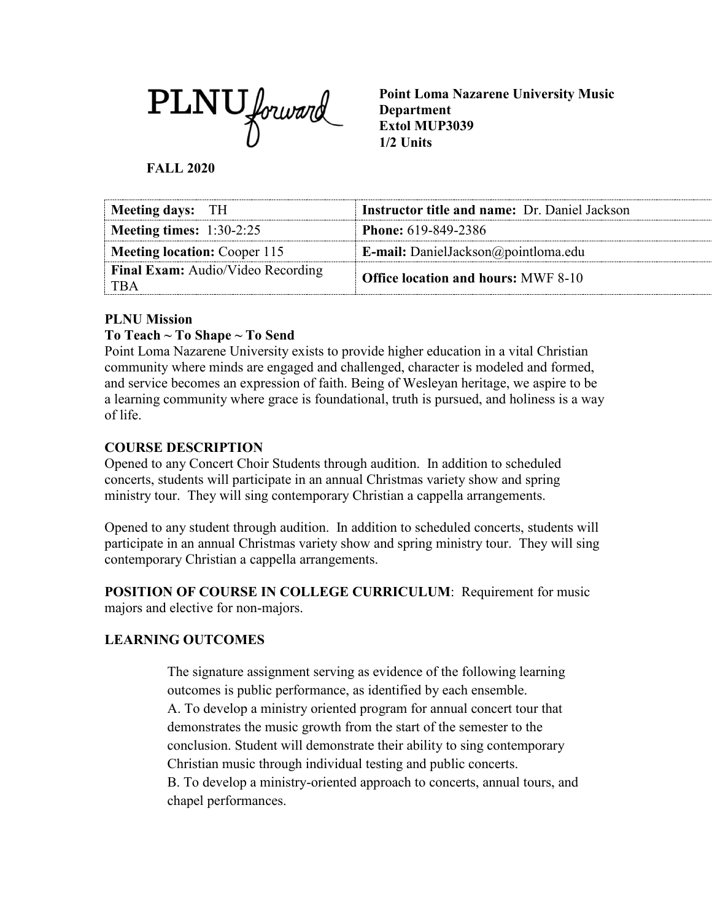PLNU forward

**Point Loma Nazarene University Music Department Extol MUP3039 1/2 Units**

**FALL 2020**

| Meeting days: TH                                  | <b>Instructor title and name: Dr. Daniel Jackson</b> |
|---------------------------------------------------|------------------------------------------------------|
| <b>Meeting times:</b> $1:30-2:25$                 | <b>Phone:</b> 619-849-2386                           |
| <b>Meeting location:</b> Cooper 115               | <b>E-mail:</b> DanielJackson@pointloma.edu           |
| <b>Final Exam:</b> Audio/Video Recording<br>† TBA | <b>Office location and hours: MWF 8-10</b>           |

### **PLNU Mission**

### **To Teach ~ To Shape ~ To Send**

Point Loma Nazarene University exists to provide higher education in a vital Christian community where minds are engaged and challenged, character is modeled and formed, and service becomes an expression of faith. Being of Wesleyan heritage, we aspire to be a learning community where grace is foundational, truth is pursued, and holiness is a way of life.

### **COURSE DESCRIPTION**

Opened to any Concert Choir Students through audition. In addition to scheduled concerts, students will participate in an annual Christmas variety show and spring ministry tour. They will sing contemporary Christian a cappella arrangements.

Opened to any student through audition. In addition to scheduled concerts, students will participate in an annual Christmas variety show and spring ministry tour. They will sing contemporary Christian a cappella arrangements.

**POSITION OF COURSE IN COLLEGE CURRICULUM**: Requirement for music majors and elective for non-majors.

## **LEARNING OUTCOMES**

The signature assignment serving as evidence of the following learning outcomes is public performance, as identified by each ensemble.

A. To develop a ministry oriented program for annual concert tour that demonstrates the music growth from the start of the semester to the conclusion. Student will demonstrate their ability to sing contemporary Christian music through individual testing and public concerts.

B. To develop a ministry-oriented approach to concerts, annual tours, and chapel performances.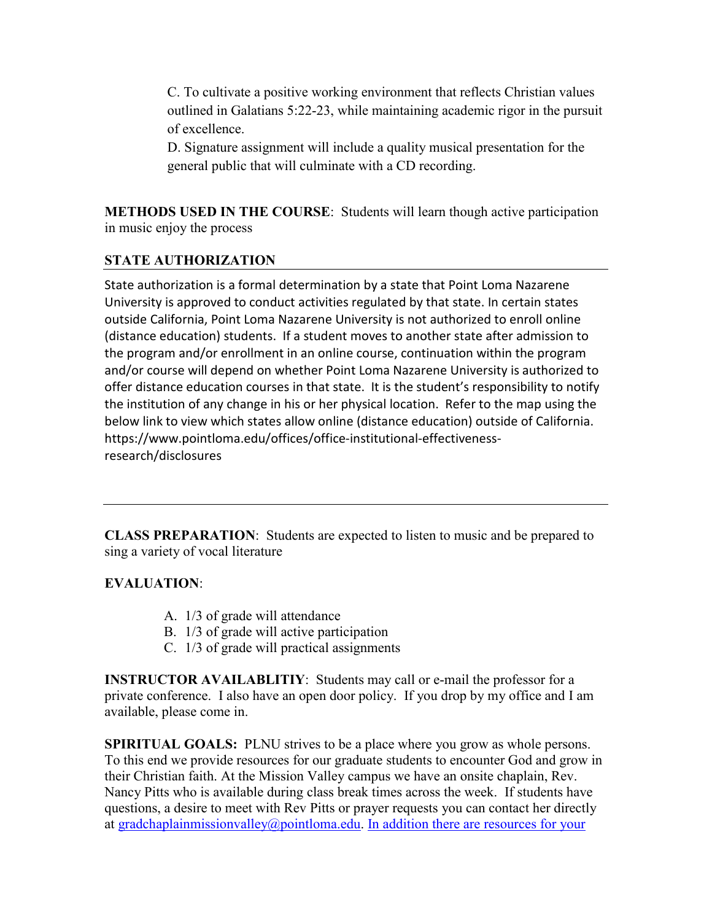C. To cultivate a positive working environment that reflects Christian values outlined in Galatians 5:22-23, while maintaining academic rigor in the pursuit of excellence.

D. Signature assignment will include a quality musical presentation for the general public that will culminate with a CD recording.

**METHODS USED IN THE COURSE**: Students will learn though active participation in music enjoy the process

## **STATE AUTHORIZATION**

State authorization is a formal determination by a state that Point Loma Nazarene University is approved to conduct activities regulated by that state. In certain states outside California, Point Loma Nazarene University is not authorized to enroll online (distance education) students. If a student moves to another state after admission to the program and/or enrollment in an online course, continuation within the program and/or course will depend on whether Point Loma Nazarene University is authorized to offer distance education courses in that state. It is the student's responsibility to notify the institution of any change in his or her physical location. Refer to the map using the below link to view which states allow online (distance education) outside of California. [https://www.pointloma.edu/offices/office-institutional-effectiveness](https://www.pointloma.edu/offices/office-institutional-effectiveness-research/disclosures)[research/disclosures](https://www.pointloma.edu/offices/office-institutional-effectiveness-research/disclosures)

**CLASS PREPARATION**: Students are expected to listen to music and be prepared to sing a variety of vocal literature

#### **EVALUATION**:

- A. 1/3 of grade will attendance
- B. 1/3 of grade will active participation
- C. 1/3 of grade will practical assignments

**INSTRUCTOR AVAILABLITIY:** Students may call or e-mail the professor for a private conference. I also have an open door policy. If you drop by my office and I am available, please come in.

**SPIRITUAL GOALS:** PLNU strives to be a place where you grow as whole persons. To this end we provide resources for our graduate students to encounter God and grow in their Christian faith. At the Mission Valley campus we have an onsite chaplain, Rev. Nancy Pitts who is available during class break times across the week. If students have questions, a desire to meet with Rev Pitts or prayer requests you can contact her directly at [gradchaplainmissionvalley@pointloma.edu.](mailto:gradchaplainmissionvalley@pointloma.edu) [In addition there are resources for your](mailto:gradchaplainmissionvalley@pointloma.edu.%20%20%0dIn%20addition%20there%20are%20resources%20for%20your%20Christian%20faith%20journey%20are%20available%20at%20http://www.pointloma.edu/SpiritualDevelopment/Graduate_Students.htm.%0b)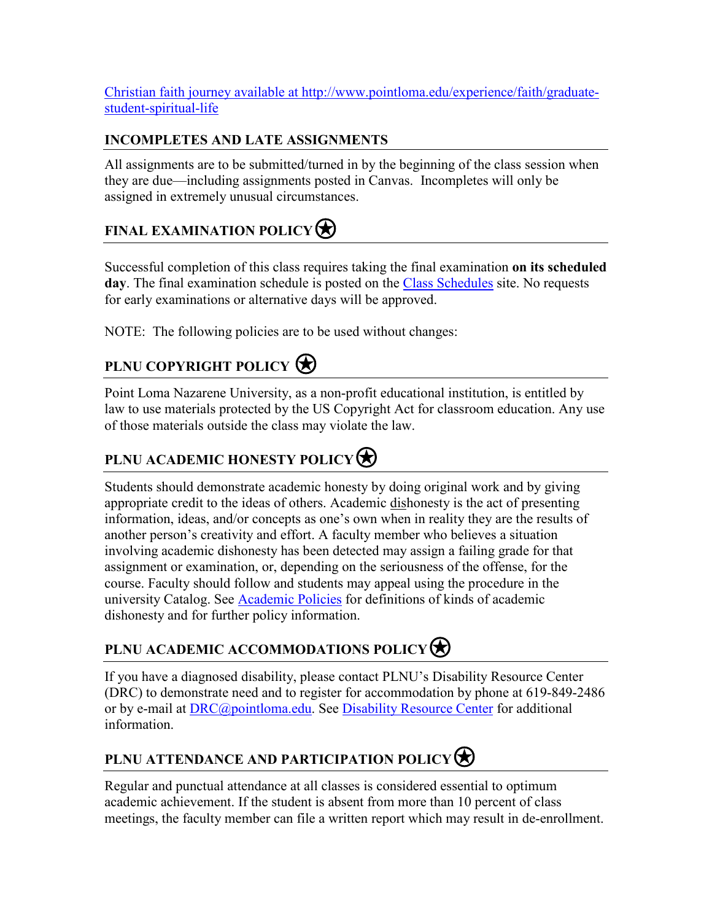Christian faith journey available at [http://www.pointloma.edu/experience/faith/graduate](mailto:gradchaplainmissionvalley@pointloma.edu.%20%20%0dIn%20addition%20there%20are%20resources%20for%20your%20Christian%20faith%20journey%20are%20available%20at%20http://www.pointloma.edu/SpiritualDevelopment/Graduate_Students.htm.%0b)[student-spiritual-life](mailto:gradchaplainmissionvalley@pointloma.edu.%20%20%0dIn%20addition%20there%20are%20resources%20for%20your%20Christian%20faith%20journey%20are%20available%20at%20http://www.pointloma.edu/SpiritualDevelopment/Graduate_Students.htm.%0b)

## **INCOMPLETES AND LATE ASSIGNMENTS**

All assignments are to be submitted/turned in by the beginning of the class session when they are due—including assignments posted in Canvas. Incompletes will only be assigned in extremely unusual circumstances.

# **FINAL EXAMINATION POLICY**

Successful completion of this class requires taking the final examination **on its scheduled**  day. The final examination schedule is posted on the [Class Schedules](http://www.pointloma.edu/experience/academics/class-schedules) site. No requests for early examinations or alternative days will be approved.

NOTE: The following policies are to be used without changes:

# **PLNU COPYRIGHT POLICY**

Point Loma Nazarene University, as a non-profit educational institution, is entitled by law to use materials protected by the US Copyright Act for classroom education. Any use of those materials outside the class may violate the law.

## **PLNU ACADEMIC HONESTY POLICY**

Students should demonstrate academic honesty by doing original work and by giving appropriate credit to the ideas of others. Academic dishonesty is the act of presenting information, ideas, and/or concepts as one's own when in reality they are the results of another person's creativity and effort. A faculty member who believes a situation involving academic dishonesty has been detected may assign a failing grade for that assignment or examination, or, depending on the seriousness of the offense, for the course. Faculty should follow and students may appeal using the procedure in the university Catalog. See [Academic Policies](http://catalog.pointloma.edu/content.php?catoid=18&navoid=1278) for definitions of kinds of academic dishonesty and for further policy information.

## **PLNU ACADEMIC ACCOMMODATIONS POLICY**

If you have a diagnosed disability, please contact PLNU's Disability Resource Center (DRC) to demonstrate need and to register for accommodation by phone at 619-849-2486 or by e-mail at [DRC@pointloma.edu.](mailto:DRC@pointloma.edu) See [Disability Resource Center](http://www.pointloma.edu/experience/offices/administrative-offices/academic-advising-office/disability-resource-center) for additional information.

## **PLNU ATTENDANCE AND PARTICIPATION POLICY**

Regular and punctual attendance at all classes is considered essential to optimum academic achievement. If the student is absent from more than 10 percent of class meetings, the faculty member can file a written report which may result in de-enrollment.